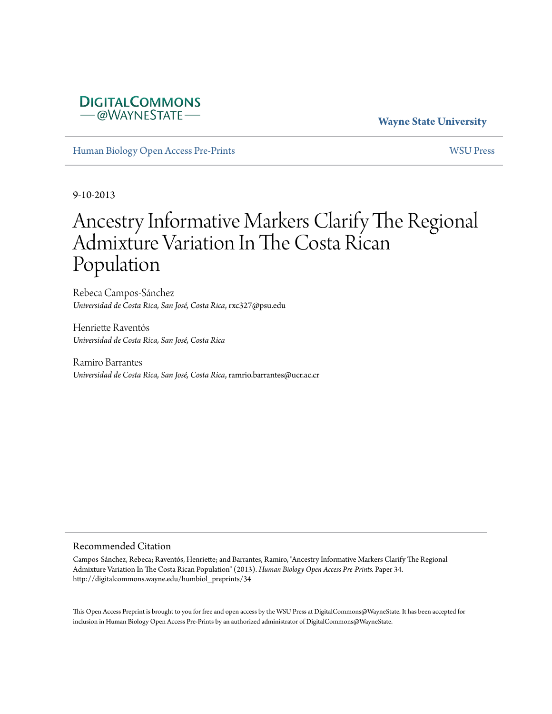## **DIGITALCOMMONS** -@WAYNESTATE-

## **Wayne State University**

[Human Biology Open Access Pre-Prints](http://digitalcommons.wayne.edu/humbiol_preprints) [WSU Press](http://digitalcommons.wayne.edu/wsupress)

9-10-2013

# Ancestry Informative Markers Clarify The Regional Admixture Variation In The Costa Rican Population

Rebeca Campos-Sánchez *Universidad de Costa Rica, San José, Costa Rica*, rxc327@psu.edu

Henriette Raventós *Universidad de Costa Rica, San José, Costa Rica*

Ramiro Barrantes *Universidad de Costa Rica, San José, Costa Rica*, ramrio.barrantes@ucr.ac.cr

#### Recommended Citation

Campos-Sánchez, Rebeca; Raventós, Henriette; and Barrantes, Ramiro, "Ancestry Informative Markers Clarify The Regional Admixture Variation In The Costa Rican Population" (2013). *Human Biology Open Access Pre-Prints.* Paper 34. http://digitalcommons.wayne.edu/humbiol\_preprints/34

This Open Access Preprint is brought to you for free and open access by the WSU Press at DigitalCommons@WayneState. It has been accepted for inclusion in Human Biology Open Access Pre-Prints by an authorized administrator of DigitalCommons@WayneState.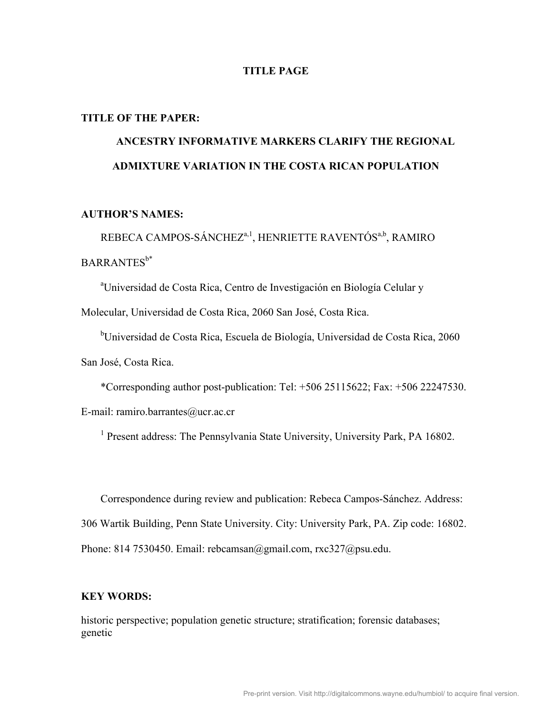## **TITLE PAGE**

#### **TITLE OF THE PAPER:**

## **ANCESTRY INFORMATIVE MARKERS CLARIFY THE REGIONAL ADMIXTURE VARIATION IN THE COSTA RICAN POPULATION**

## **AUTHOR'S NAMES:**

REBECA CAMPOS-SÁNCHEZ<sup>a, 1</sup>, HENRIETTE RAVENTÓS<sup>a,b</sup>, RAMIRO  $BARRANTES^{b*}$ 

<sup>a</sup>Universidad de Costa Rica, Centro de Investigación en Biología Celular y

Molecular, Universidad de Costa Rica, 2060 San José, Costa Rica.

<sup>b</sup>Universidad de Costa Rica, Escuela de Biología, Universidad de Costa Rica, 2060 San José, Costa Rica.

\*Corresponding author post-publication: Tel: +506 25115622; Fax: +506 22247530.

E-mail: ramiro.barrantes@ucr.ac.cr

<sup>1</sup> Present address: The Pennsylvania State University, University Park, PA 16802.

Correspondence during review and publication: Rebeca Campos-Sánchez. Address: 306 Wartik Building, Penn State University. City: University Park, PA. Zip code: 16802. Phone: 814 7530450. Email: rebcamsan@gmail.com, rxc327@psu.edu.

## **KEY WORDS:**

historic perspective; population genetic structure; stratification; forensic databases; genetic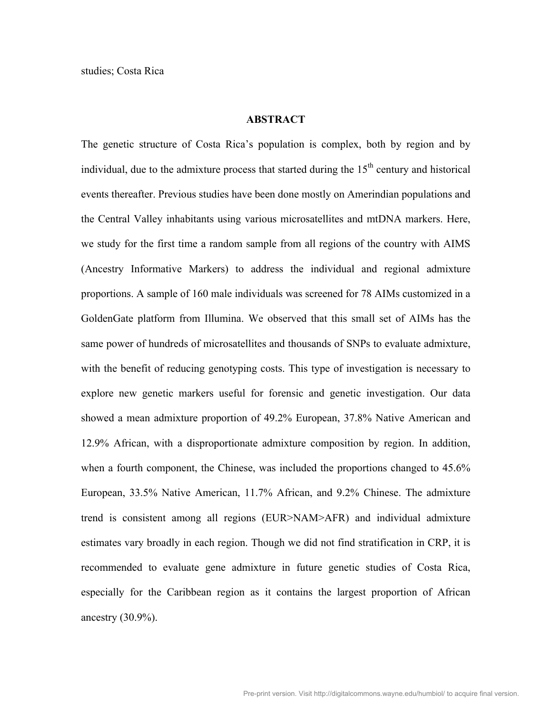## **ABSTRACT**

The genetic structure of Costa Rica's population is complex, both by region and by individual, due to the admixture process that started during the  $15<sup>th</sup>$  century and historical events thereafter. Previous studies have been done mostly on Amerindian populations and the Central Valley inhabitants using various microsatellites and mtDNA markers. Here, we study for the first time a random sample from all regions of the country with AIMS (Ancestry Informative Markers) to address the individual and regional admixture proportions. A sample of 160 male individuals was screened for 78 AIMs customized in a GoldenGate platform from Illumina. We observed that this small set of AIMs has the same power of hundreds of microsatellites and thousands of SNPs to evaluate admixture, with the benefit of reducing genotyping costs. This type of investigation is necessary to explore new genetic markers useful for forensic and genetic investigation. Our data showed a mean admixture proportion of 49.2% European, 37.8% Native American and 12.9% African, with a disproportionate admixture composition by region. In addition, when a fourth component, the Chinese, was included the proportions changed to  $45.6\%$ European, 33.5% Native American, 11.7% African, and 9.2% Chinese. The admixture trend is consistent among all regions (EUR>NAM>AFR) and individual admixture estimates vary broadly in each region. Though we did not find stratification in CRP, it is recommended to evaluate gene admixture in future genetic studies of Costa Rica, especially for the Caribbean region as it contains the largest proportion of African ancestry (30.9%).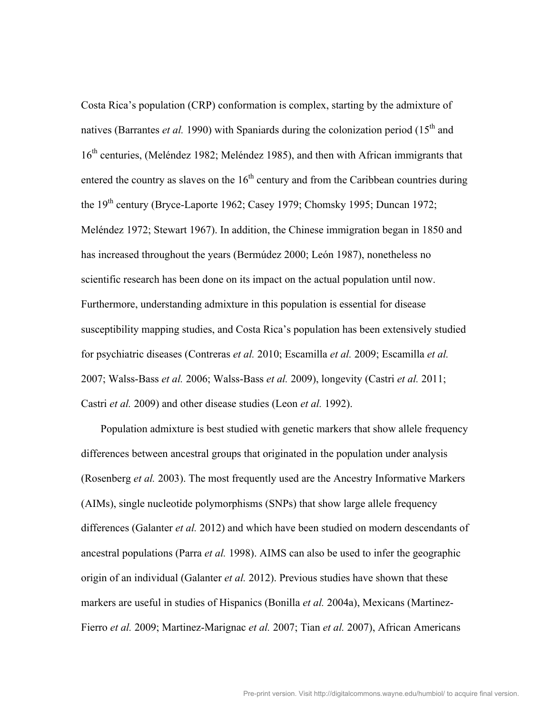Costa Rica's population (CRP) conformation is complex, starting by the admixture of natives (Barrantes *et al.* 1990) with Spaniards during the colonization period (15<sup>th</sup> and 16<sup>th</sup> centuries, (Meléndez 1982; Meléndez 1985), and then with African immigrants that entered the country as slaves on the  $16<sup>th</sup>$  century and from the Caribbean countries during the  $19<sup>th</sup>$  century (Bryce-Laporte 1962; Casey 1979; Chomsky 1995; Duncan 1972; Meléndez 1972; Stewart 1967). In addition, the Chinese immigration began in 1850 and has increased throughout the years (Bermúdez 2000; León 1987), nonetheless no scientific research has been done on its impact on the actual population until now. Furthermore, understanding admixture in this population is essential for disease susceptibility mapping studies, and Costa Rica's population has been extensively studied for psychiatric diseases (Contreras *et al.* 2010; Escamilla *et al.* 2009; Escamilla *et al.* 2007; Walss-Bass *et al.* 2006; Walss-Bass *et al.* 2009), longevity (Castri *et al.* 2011; Castri *et al.* 2009) and other disease studies (Leon *et al.* 1992).

Population admixture is best studied with genetic markers that show allele frequency differences between ancestral groups that originated in the population under analysis (Rosenberg *et al.* 2003). The most frequently used are the Ancestry Informative Markers (AIMs), single nucleotide polymorphisms (SNPs) that show large allele frequency differences (Galanter *et al.* 2012) and which have been studied on modern descendants of ancestral populations (Parra *et al.* 1998). AIMS can also be used to infer the geographic origin of an individual (Galanter *et al.* 2012). Previous studies have shown that these markers are useful in studies of Hispanics (Bonilla *et al.* 2004a), Mexicans (Martinez-Fierro *et al.* 2009; Martinez-Marignac *et al.* 2007; Tian *et al.* 2007), African Americans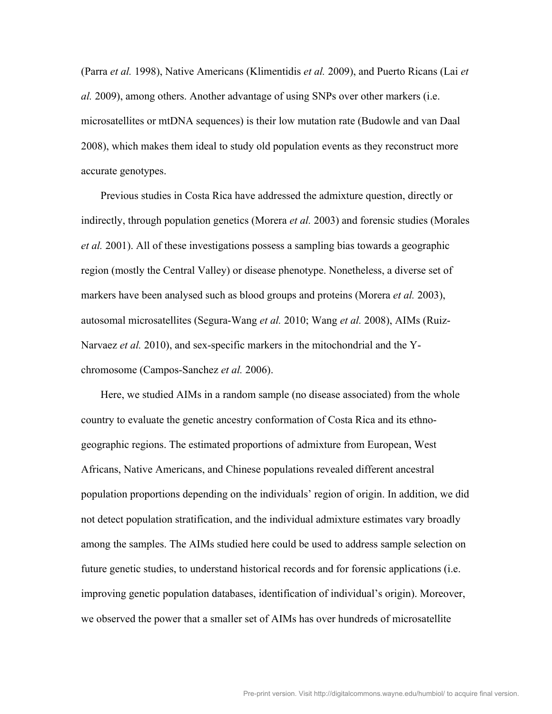(Parra *et al.* 1998), Native Americans (Klimentidis *et al.* 2009), and Puerto Ricans (Lai *et al.* 2009), among others. Another advantage of using SNPs over other markers (i.e. microsatellites or mtDNA sequences) is their low mutation rate (Budowle and van Daal 2008), which makes them ideal to study old population events as they reconstruct more accurate genotypes.

Previous studies in Costa Rica have addressed the admixture question, directly or indirectly, through population genetics (Morera *et al.* 2003) and forensic studies (Morales *et al.* 2001). All of these investigations possess a sampling bias towards a geographic region (mostly the Central Valley) or disease phenotype. Nonetheless, a diverse set of markers have been analysed such as blood groups and proteins (Morera *et al.* 2003), autosomal microsatellites (Segura-Wang *et al.* 2010; Wang *et al.* 2008), AIMs (Ruiz-Narvaez *et al.* 2010), and sex-specific markers in the mitochondrial and the Ychromosome (Campos-Sanchez *et al.* 2006).

Here, we studied AIMs in a random sample (no disease associated) from the whole country to evaluate the genetic ancestry conformation of Costa Rica and its ethnogeographic regions. The estimated proportions of admixture from European, West Africans, Native Americans, and Chinese populations revealed different ancestral population proportions depending on the individuals' region of origin. In addition, we did not detect population stratification, and the individual admixture estimates vary broadly among the samples. The AIMs studied here could be used to address sample selection on future genetic studies, to understand historical records and for forensic applications (i.e. improving genetic population databases, identification of individual's origin). Moreover, we observed the power that a smaller set of AIMs has over hundreds of microsatellite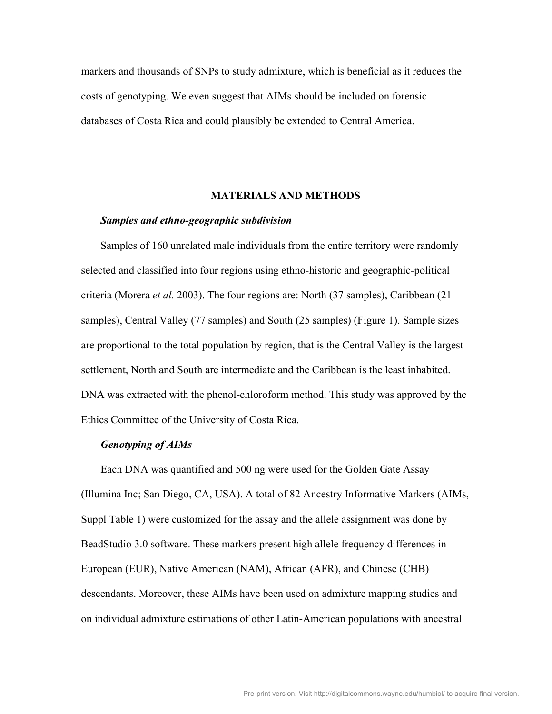markers and thousands of SNPs to study admixture, which is beneficial as it reduces the costs of genotyping. We even suggest that AIMs should be included on forensic databases of Costa Rica and could plausibly be extended to Central America.

## **MATERIALS AND METHODS**

#### *Samples and ethno-geographic subdivision*

Samples of 160 unrelated male individuals from the entire territory were randomly selected and classified into four regions using ethno-historic and geographic-political criteria (Morera *et al.* 2003). The four regions are: North (37 samples), Caribbean (21 samples), Central Valley (77 samples) and South (25 samples) (Figure 1). Sample sizes are proportional to the total population by region, that is the Central Valley is the largest settlement, North and South are intermediate and the Caribbean is the least inhabited. DNA was extracted with the phenol-chloroform method. This study was approved by the Ethics Committee of the University of Costa Rica.

## *Genotyping of AIMs*

Each DNA was quantified and 500 ng were used for the Golden Gate Assay (Illumina Inc; San Diego, CA, USA). A total of 82 Ancestry Informative Markers (AIMs, Suppl Table 1) were customized for the assay and the allele assignment was done by BeadStudio 3.0 software. These markers present high allele frequency differences in European (EUR), Native American (NAM), African (AFR), and Chinese (CHB) descendants. Moreover, these AIMs have been used on admixture mapping studies and on individual admixture estimations of other Latin-American populations with ancestral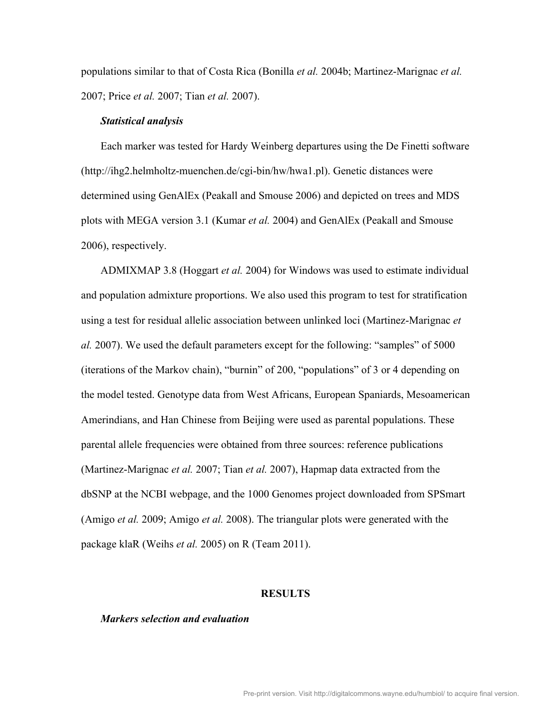populations similar to that of Costa Rica (Bonilla *et al.* 2004b; Martinez-Marignac *et al.* 2007; Price *et al.* 2007; Tian *et al.* 2007).

#### *Statistical analysis*

Each marker was tested for Hardy Weinberg departures using the De Finetti software (http://ihg2.helmholtz-muenchen.de/cgi-bin/hw/hwa1.pl). Genetic distances were determined using GenAlEx (Peakall and Smouse 2006) and depicted on trees and MDS plots with MEGA version 3.1 (Kumar *et al.* 2004) and GenAlEx (Peakall and Smouse 2006), respectively.

ADMIXMAP 3.8 (Hoggart *et al.* 2004) for Windows was used to estimate individual and population admixture proportions. We also used this program to test for stratification using a test for residual allelic association between unlinked loci (Martinez-Marignac *et al.* 2007). We used the default parameters except for the following: "samples" of 5000 (iterations of the Markov chain), "burnin" of 200, "populations" of 3 or 4 depending on the model tested. Genotype data from West Africans, European Spaniards, Mesoamerican Amerindians, and Han Chinese from Beijing were used as parental populations. These parental allele frequencies were obtained from three sources: reference publications (Martinez-Marignac *et al.* 2007; Tian *et al.* 2007), Hapmap data extracted from the dbSNP at the NCBI webpage, and the 1000 Genomes project downloaded from SPSmart (Amigo *et al.* 2009; Amigo *et al.* 2008). The triangular plots were generated with the package klaR (Weihs *et al.* 2005) on R (Team 2011).

#### **RESULTS**

#### *Markers selection and evaluation*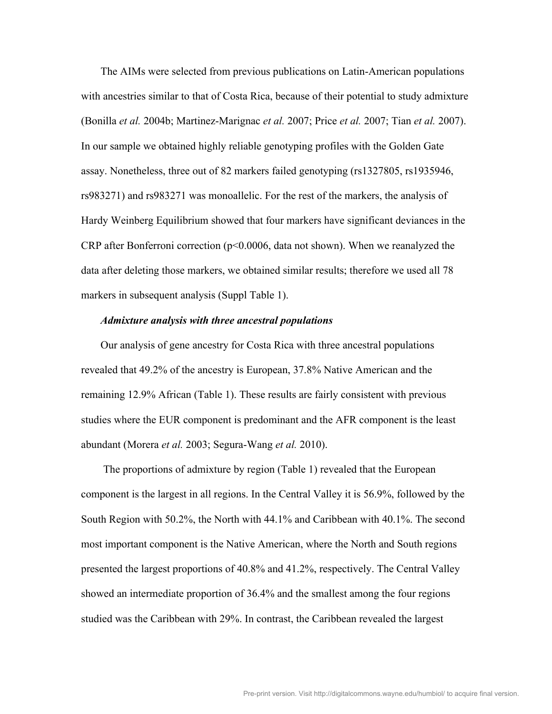The AIMs were selected from previous publications on Latin-American populations with ancestries similar to that of Costa Rica, because of their potential to study admixture (Bonilla *et al.* 2004b; Martinez-Marignac *et al.* 2007; Price *et al.* 2007; Tian *et al.* 2007). In our sample we obtained highly reliable genotyping profiles with the Golden Gate assay. Nonetheless, three out of 82 markers failed genotyping (rs1327805, rs1935946, rs983271) and rs983271 was monoallelic. For the rest of the markers, the analysis of Hardy Weinberg Equilibrium showed that four markers have significant deviances in the CRP after Bonferroni correction (p<0.0006, data not shown). When we reanalyzed the data after deleting those markers, we obtained similar results; therefore we used all 78 markers in subsequent analysis (Suppl Table 1).

### *Admixture analysis with three ancestral populations*

Our analysis of gene ancestry for Costa Rica with three ancestral populations revealed that 49.2% of the ancestry is European, 37.8% Native American and the remaining 12.9% African (Table 1). These results are fairly consistent with previous studies where the EUR component is predominant and the AFR component is the least abundant (Morera *et al.* 2003; Segura-Wang *et al.* 2010).

The proportions of admixture by region (Table 1) revealed that the European component is the largest in all regions. In the Central Valley it is 56.9%, followed by the South Region with 50.2%, the North with 44.1% and Caribbean with 40.1%. The second most important component is the Native American, where the North and South regions presented the largest proportions of 40.8% and 41.2%, respectively. The Central Valley showed an intermediate proportion of 36.4% and the smallest among the four regions studied was the Caribbean with 29%. In contrast, the Caribbean revealed the largest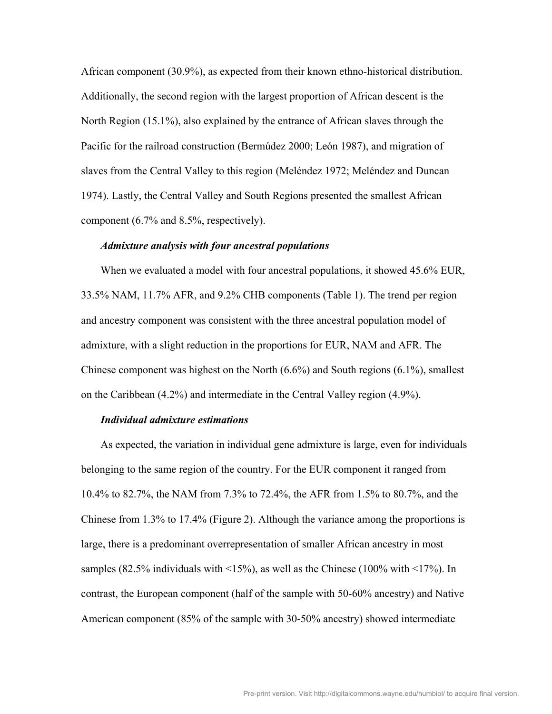African component (30.9%), as expected from their known ethno-historical distribution. Additionally, the second region with the largest proportion of African descent is the North Region (15.1%), also explained by the entrance of African slaves through the Pacific for the railroad construction (Bermúdez 2000; León 1987), and migration of slaves from the Central Valley to this region (Meléndez 1972; Meléndez and Duncan 1974). Lastly, the Central Valley and South Regions presented the smallest African component (6.7% and 8.5%, respectively).

#### *Admixture analysis with four ancestral populations*

When we evaluated a model with four ancestral populations, it showed 45.6% EUR, 33.5% NAM, 11.7% AFR, and 9.2% CHB components (Table 1). The trend per region and ancestry component was consistent with the three ancestral population model of admixture, with a slight reduction in the proportions for EUR, NAM and AFR. The Chinese component was highest on the North (6.6%) and South regions (6.1%), smallest on the Caribbean (4.2%) and intermediate in the Central Valley region (4.9%).

#### *Individual admixture estimations*

As expected, the variation in individual gene admixture is large, even for individuals belonging to the same region of the country. For the EUR component it ranged from 10.4% to 82.7%, the NAM from 7.3% to 72.4%, the AFR from 1.5% to 80.7%, and the Chinese from 1.3% to 17.4% (Figure 2). Although the variance among the proportions is large, there is a predominant overrepresentation of smaller African ancestry in most samples (82.5% individuals with  $\langle 15\% \rangle$ , as well as the Chinese (100% with  $\langle 17\% \rangle$ ). In contrast, the European component (half of the sample with 50-60% ancestry) and Native American component (85% of the sample with 30-50% ancestry) showed intermediate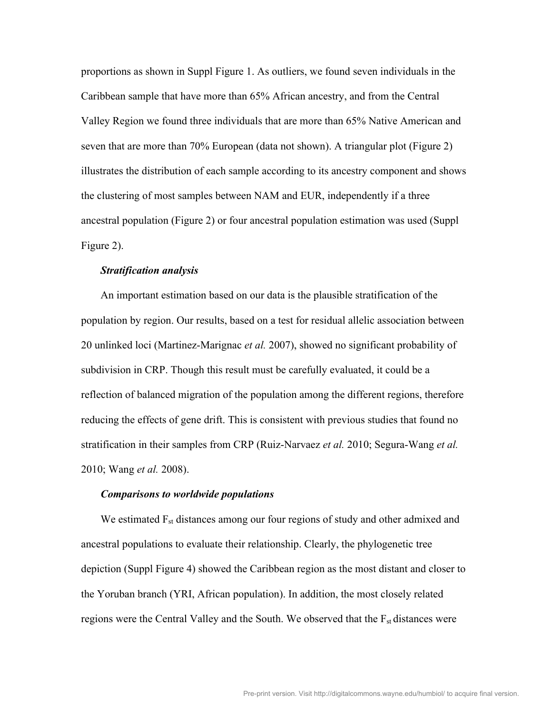proportions as shown in Suppl Figure 1. As outliers, we found seven individuals in the Caribbean sample that have more than 65% African ancestry, and from the Central Valley Region we found three individuals that are more than 65% Native American and seven that are more than 70% European (data not shown). A triangular plot (Figure 2) illustrates the distribution of each sample according to its ancestry component and shows the clustering of most samples between NAM and EUR, independently if a three ancestral population (Figure 2) or four ancestral population estimation was used (Suppl Figure 2).

## *Stratification analysis*

An important estimation based on our data is the plausible stratification of the population by region. Our results, based on a test for residual allelic association between 20 unlinked loci (Martinez-Marignac *et al.* 2007), showed no significant probability of subdivision in CRP. Though this result must be carefully evaluated, it could be a reflection of balanced migration of the population among the different regions, therefore reducing the effects of gene drift. This is consistent with previous studies that found no stratification in their samples from CRP (Ruiz-Narvaez *et al.* 2010; Segura-Wang *et al.* 2010; Wang *et al.* 2008).

#### *Comparisons to worldwide populations*

We estimated F<sub>st</sub> distances among our four regions of study and other admixed and ancestral populations to evaluate their relationship. Clearly, the phylogenetic tree depiction (Suppl Figure 4) showed the Caribbean region as the most distant and closer to the Yoruban branch (YRI, African population). In addition, the most closely related regions were the Central Valley and the South. We observed that the F<sub>st</sub> distances were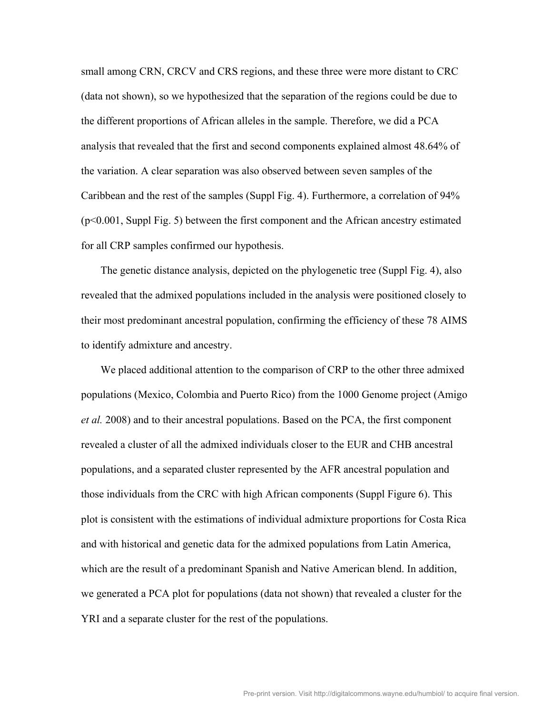small among CRN, CRCV and CRS regions, and these three were more distant to CRC (data not shown), so we hypothesized that the separation of the regions could be due to the different proportions of African alleles in the sample. Therefore, we did a PCA analysis that revealed that the first and second components explained almost 48.64% of the variation. A clear separation was also observed between seven samples of the Caribbean and the rest of the samples (Suppl Fig. 4). Furthermore, a correlation of 94% (p<0.001, Suppl Fig. 5) between the first component and the African ancestry estimated for all CRP samples confirmed our hypothesis.

The genetic distance analysis, depicted on the phylogenetic tree (Suppl Fig. 4), also revealed that the admixed populations included in the analysis were positioned closely to their most predominant ancestral population, confirming the efficiency of these 78 AIMS to identify admixture and ancestry.

We placed additional attention to the comparison of CRP to the other three admixed populations (Mexico, Colombia and Puerto Rico) from the 1000 Genome project (Amigo *et al.* 2008) and to their ancestral populations. Based on the PCA, the first component revealed a cluster of all the admixed individuals closer to the EUR and CHB ancestral populations, and a separated cluster represented by the AFR ancestral population and those individuals from the CRC with high African components (Suppl Figure 6). This plot is consistent with the estimations of individual admixture proportions for Costa Rica and with historical and genetic data for the admixed populations from Latin America, which are the result of a predominant Spanish and Native American blend. In addition, we generated a PCA plot for populations (data not shown) that revealed a cluster for the YRI and a separate cluster for the rest of the populations.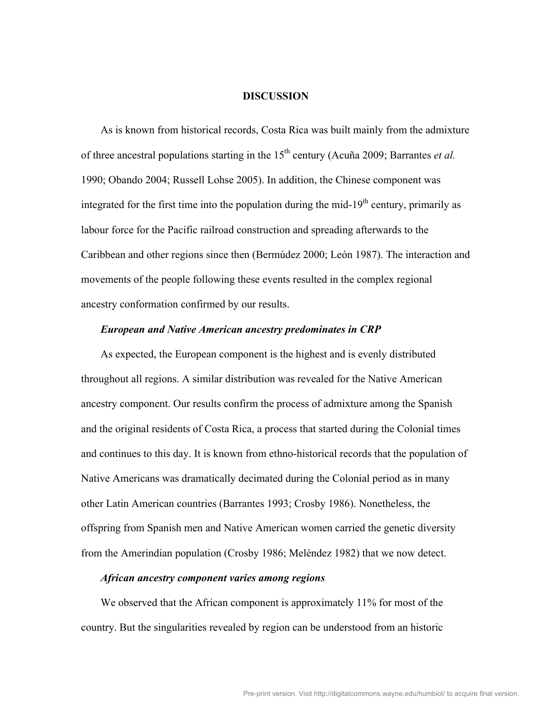#### **DISCUSSION**

As is known from historical records, Costa Rica was built mainly from the admixture of three ancestral populations starting in the 15<sup>th</sup> century (Acuña 2009; Barrantes *et al.*) 1990; Obando 2004; Russell Lohse 2005). In addition, the Chinese component was integrated for the first time into the population during the mid-19<sup>th</sup> century, primarily as labour force for the Pacific railroad construction and spreading afterwards to the Caribbean and other regions since then (Bermúdez 2000; León 1987). The interaction and movements of the people following these events resulted in the complex regional ancestry conformation confirmed by our results.

## *European and Native American ancestry predominates in CRP*

As expected, the European component is the highest and is evenly distributed throughout all regions. A similar distribution was revealed for the Native American ancestry component. Our results confirm the process of admixture among the Spanish and the original residents of Costa Rica, a process that started during the Colonial times and continues to this day. It is known from ethno-historical records that the population of Native Americans was dramatically decimated during the Colonial period as in many other Latin American countries (Barrantes 1993; Crosby 1986). Nonetheless, the offspring from Spanish men and Native American women carried the genetic diversity from the Amerindian population (Crosby 1986; Meléndez 1982) that we now detect.

#### *African ancestry component varies among regions*

We observed that the African component is approximately 11% for most of the country. But the singularities revealed by region can be understood from an historic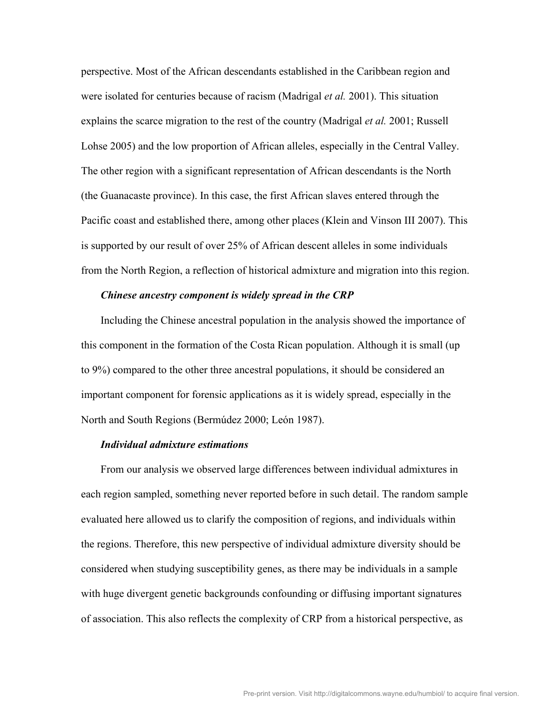perspective. Most of the African descendants established in the Caribbean region and were isolated for centuries because of racism (Madrigal *et al.* 2001). This situation explains the scarce migration to the rest of the country (Madrigal *et al.* 2001; Russell Lohse 2005) and the low proportion of African alleles, especially in the Central Valley. The other region with a significant representation of African descendants is the North (the Guanacaste province). In this case, the first African slaves entered through the Pacific coast and established there, among other places (Klein and Vinson III 2007). This is supported by our result of over 25% of African descent alleles in some individuals from the North Region, a reflection of historical admixture and migration into this region.

#### *Chinese ancestry component is widely spread in the CRP*

Including the Chinese ancestral population in the analysis showed the importance of this component in the formation of the Costa Rican population. Although it is small (up to 9%) compared to the other three ancestral populations, it should be considered an important component for forensic applications as it is widely spread, especially in the North and South Regions (Bermúdez 2000; León 1987).

## *Individual admixture estimations*

From our analysis we observed large differences between individual admixtures in each region sampled, something never reported before in such detail. The random sample evaluated here allowed us to clarify the composition of regions, and individuals within the regions. Therefore, this new perspective of individual admixture diversity should be considered when studying susceptibility genes, as there may be individuals in a sample with huge divergent genetic backgrounds confounding or diffusing important signatures of association. This also reflects the complexity of CRP from a historical perspective, as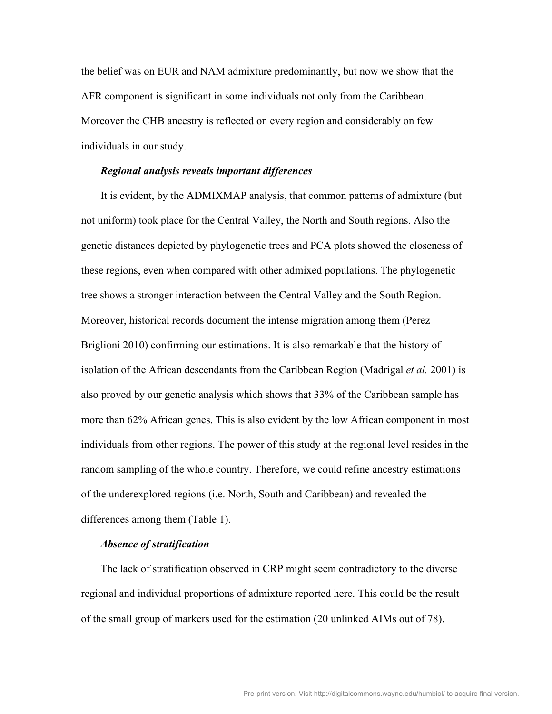the belief was on EUR and NAM admixture predominantly, but now we show that the AFR component is significant in some individuals not only from the Caribbean. Moreover the CHB ancestry is reflected on every region and considerably on few individuals in our study.

#### *Regional analysis reveals important differences*

It is evident, by the ADMIXMAP analysis, that common patterns of admixture (but not uniform) took place for the Central Valley, the North and South regions. Also the genetic distances depicted by phylogenetic trees and PCA plots showed the closeness of these regions, even when compared with other admixed populations. The phylogenetic tree shows a stronger interaction between the Central Valley and the South Region. Moreover, historical records document the intense migration among them (Perez Briglioni 2010) confirming our estimations. It is also remarkable that the history of isolation of the African descendants from the Caribbean Region (Madrigal *et al.* 2001) is also proved by our genetic analysis which shows that 33% of the Caribbean sample has more than 62% African genes. This is also evident by the low African component in most individuals from other regions. The power of this study at the regional level resides in the random sampling of the whole country. Therefore, we could refine ancestry estimations of the underexplored regions (i.e. North, South and Caribbean) and revealed the differences among them (Table 1).

#### *Absence of stratification*

The lack of stratification observed in CRP might seem contradictory to the diverse regional and individual proportions of admixture reported here. This could be the result of the small group of markers used for the estimation (20 unlinked AIMs out of 78).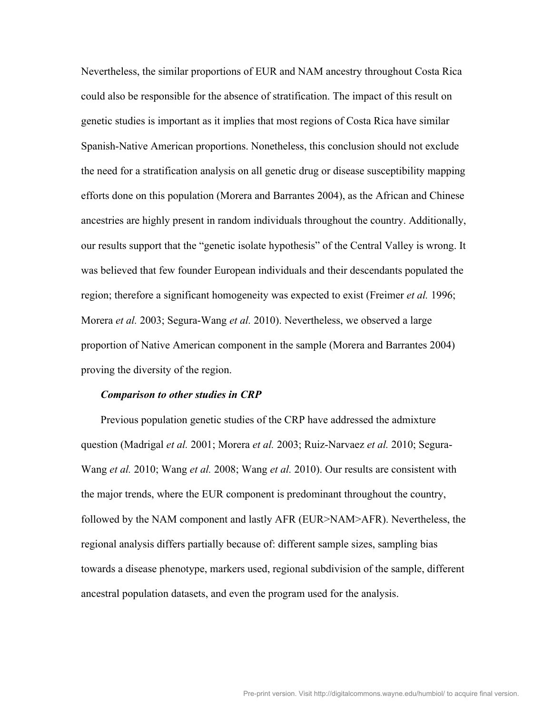Nevertheless, the similar proportions of EUR and NAM ancestry throughout Costa Rica could also be responsible for the absence of stratification. The impact of this result on genetic studies is important as it implies that most regions of Costa Rica have similar Spanish-Native American proportions. Nonetheless, this conclusion should not exclude the need for a stratification analysis on all genetic drug or disease susceptibility mapping efforts done on this population (Morera and Barrantes 2004), as the African and Chinese ancestries are highly present in random individuals throughout the country. Additionally, our results support that the "genetic isolate hypothesis" of the Central Valley is wrong. It was believed that few founder European individuals and their descendants populated the region; therefore a significant homogeneity was expected to exist (Freimer *et al.* 1996; Morera *et al.* 2003; Segura-Wang *et al.* 2010). Nevertheless, we observed a large proportion of Native American component in the sample (Morera and Barrantes 2004) proving the diversity of the region.

#### *Comparison to other studies in CRP*

Previous population genetic studies of the CRP have addressed the admixture question (Madrigal *et al.* 2001; Morera *et al.* 2003; Ruiz-Narvaez *et al.* 2010; Segura-Wang *et al.* 2010; Wang *et al.* 2008; Wang *et al.* 2010). Our results are consistent with the major trends, where the EUR component is predominant throughout the country, followed by the NAM component and lastly AFR (EUR>NAM>AFR). Nevertheless, the regional analysis differs partially because of: different sample sizes, sampling bias towards a disease phenotype, markers used, regional subdivision of the sample, different ancestral population datasets, and even the program used for the analysis.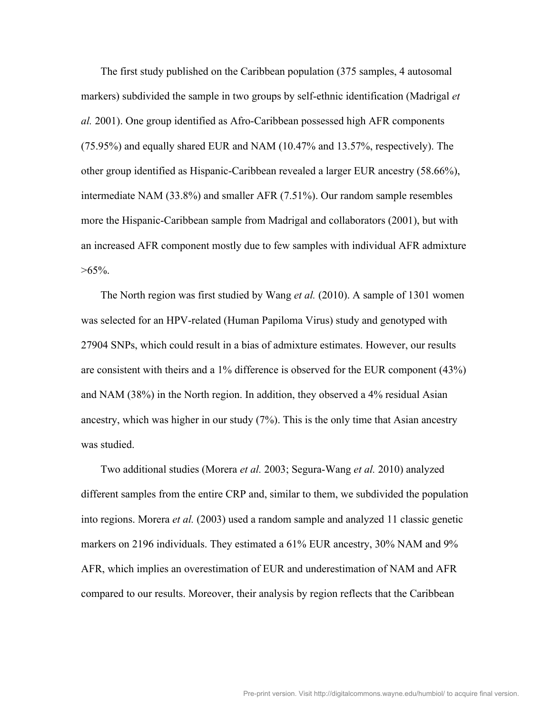The first study published on the Caribbean population (375 samples, 4 autosomal markers) subdivided the sample in two groups by self-ethnic identification (Madrigal *et al.* 2001). One group identified as Afro-Caribbean possessed high AFR components (75.95%) and equally shared EUR and NAM (10.47% and 13.57%, respectively). The other group identified as Hispanic-Caribbean revealed a larger EUR ancestry (58.66%), intermediate NAM (33.8%) and smaller AFR (7.51%). Our random sample resembles more the Hispanic-Caribbean sample from Madrigal and collaborators (2001), but with an increased AFR component mostly due to few samples with individual AFR admixture  $>65\%$ .

The North region was first studied by Wang *et al.* (2010). A sample of 1301 women was selected for an HPV-related (Human Papiloma Virus) study and genotyped with 27904 SNPs, which could result in a bias of admixture estimates. However, our results are consistent with theirs and a 1% difference is observed for the EUR component (43%) and NAM (38%) in the North region. In addition, they observed a 4% residual Asian ancestry, which was higher in our study (7%). This is the only time that Asian ancestry was studied.

Two additional studies (Morera *et al.* 2003; Segura-Wang *et al.* 2010) analyzed different samples from the entire CRP and, similar to them, we subdivided the population into regions. Morera *et al.* (2003) used a random sample and analyzed 11 classic genetic markers on 2196 individuals. They estimated a 61% EUR ancestry, 30% NAM and 9% AFR, which implies an overestimation of EUR and underestimation of NAM and AFR compared to our results. Moreover, their analysis by region reflects that the Caribbean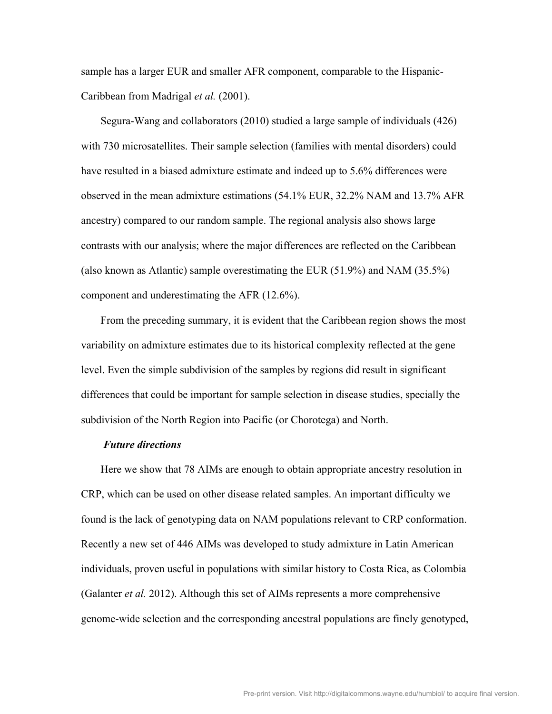sample has a larger EUR and smaller AFR component, comparable to the Hispanic-Caribbean from Madrigal *et al.* (2001).

Segura-Wang and collaborators (2010) studied a large sample of individuals (426) with 730 microsatellites. Their sample selection (families with mental disorders) could have resulted in a biased admixture estimate and indeed up to 5.6% differences were observed in the mean admixture estimations (54.1% EUR, 32.2% NAM and 13.7% AFR ancestry) compared to our random sample. The regional analysis also shows large contrasts with our analysis; where the major differences are reflected on the Caribbean (also known as Atlantic) sample overestimating the EUR (51.9%) and NAM (35.5%) component and underestimating the AFR (12.6%).

From the preceding summary, it is evident that the Caribbean region shows the most variability on admixture estimates due to its historical complexity reflected at the gene level. Even the simple subdivision of the samples by regions did result in significant differences that could be important for sample selection in disease studies, specially the subdivision of the North Region into Pacific (or Chorotega) and North.

#### *Future directions*

Here we show that 78 AIMs are enough to obtain appropriate ancestry resolution in CRP, which can be used on other disease related samples. An important difficulty we found is the lack of genotyping data on NAM populations relevant to CRP conformation. Recently a new set of 446 AIMs was developed to study admixture in Latin American individuals, proven useful in populations with similar history to Costa Rica, as Colombia (Galanter *et al.* 2012). Although this set of AIMs represents a more comprehensive genome-wide selection and the corresponding ancestral populations are finely genotyped,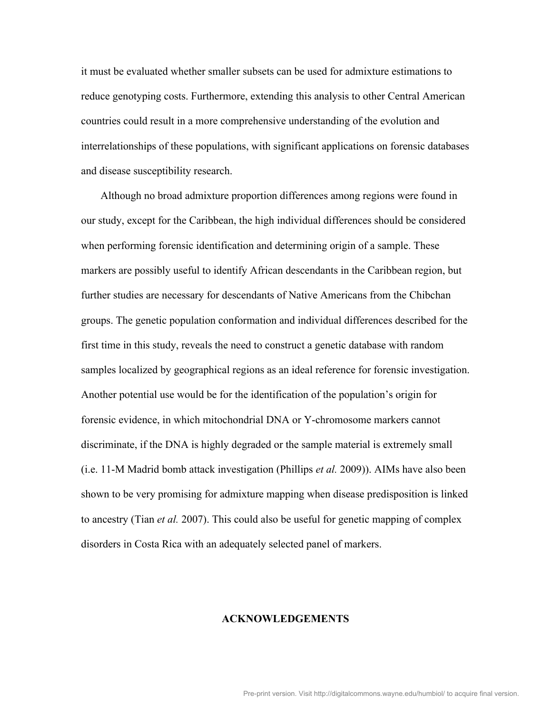it must be evaluated whether smaller subsets can be used for admixture estimations to reduce genotyping costs. Furthermore, extending this analysis to other Central American countries could result in a more comprehensive understanding of the evolution and interrelationships of these populations, with significant applications on forensic databases and disease susceptibility research.

Although no broad admixture proportion differences among regions were found in our study, except for the Caribbean, the high individual differences should be considered when performing forensic identification and determining origin of a sample. These markers are possibly useful to identify African descendants in the Caribbean region, but further studies are necessary for descendants of Native Americans from the Chibchan groups. The genetic population conformation and individual differences described for the first time in this study, reveals the need to construct a genetic database with random samples localized by geographical regions as an ideal reference for forensic investigation. Another potential use would be for the identification of the population's origin for forensic evidence, in which mitochondrial DNA or Y-chromosome markers cannot discriminate, if the DNA is highly degraded or the sample material is extremely small (i.e. 11-M Madrid bomb attack investigation (Phillips *et al.* 2009)). AIMs have also been shown to be very promising for admixture mapping when disease predisposition is linked to ancestry (Tian *et al.* 2007). This could also be useful for genetic mapping of complex disorders in Costa Rica with an adequately selected panel of markers.

#### **ACKNOWLEDGEMENTS**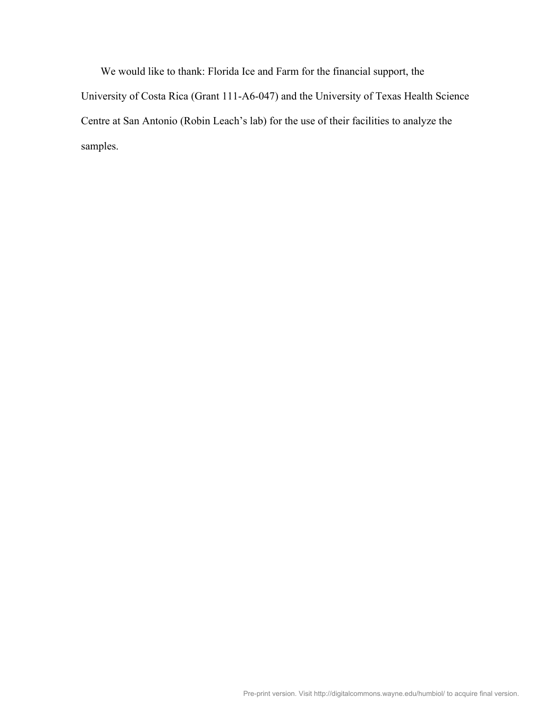We would like to thank: Florida Ice and Farm for the financial support, the University of Costa Rica (Grant 111-A6-047) and the University of Texas Health Science Centre at San Antonio (Robin Leach's lab) for the use of their facilities to analyze the samples.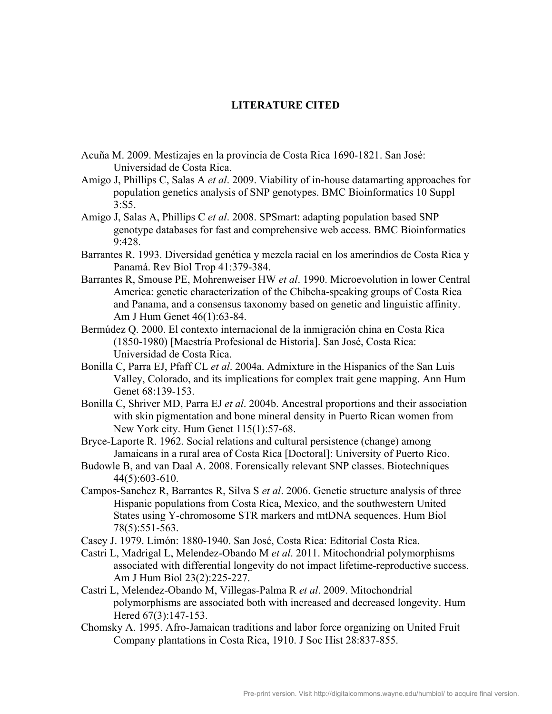## **LITERATURE CITED**

- Acuña M. 2009. Mestizajes en la provincia de Costa Rica 1690-1821. San José: Universidad de Costa Rica.
- Amigo J, Phillips C, Salas A *et al*. 2009. Viability of in-house datamarting approaches for population genetics analysis of SNP genotypes. BMC Bioinformatics 10 Suppl  $3.55$
- Amigo J, Salas A, Phillips C *et al*. 2008. SPSmart: adapting population based SNP genotype databases for fast and comprehensive web access. BMC Bioinformatics 9:428.
- Barrantes R. 1993. Diversidad genética y mezcla racial en los amerindios de Costa Rica y Panamá. Rev Biol Trop 41:379-384.
- Barrantes R, Smouse PE, Mohrenweiser HW *et al*. 1990. Microevolution in lower Central America: genetic characterization of the Chibcha-speaking groups of Costa Rica and Panama, and a consensus taxonomy based on genetic and linguistic affinity. Am J Hum Genet 46(1):63-84.
- Bermúdez Q. 2000. El contexto internacional de la inmigración china en Costa Rica (1850-1980) [Maestría Profesional de Historia]. San José, Costa Rica: Universidad de Costa Rica.
- Bonilla C, Parra EJ, Pfaff CL *et al*. 2004a. Admixture in the Hispanics of the San Luis Valley, Colorado, and its implications for complex trait gene mapping. Ann Hum Genet 68:139-153.
- Bonilla C, Shriver MD, Parra EJ *et al*. 2004b. Ancestral proportions and their association with skin pigmentation and bone mineral density in Puerto Rican women from New York city. Hum Genet 115(1):57-68.
- Bryce-Laporte R. 1962. Social relations and cultural persistence (change) among Jamaicans in a rural area of Costa Rica [Doctoral]: University of Puerto Rico.
- Budowle B, and van Daal A. 2008. Forensically relevant SNP classes. Biotechniques 44(5):603-610.
- Campos-Sanchez R, Barrantes R, Silva S *et al*. 2006. Genetic structure analysis of three Hispanic populations from Costa Rica, Mexico, and the southwestern United States using Y-chromosome STR markers and mtDNA sequences. Hum Biol 78(5):551-563.
- Casey J. 1979. Limón: 1880-1940. San José, Costa Rica: Editorial Costa Rica.
- Castri L, Madrigal L, Melendez-Obando M *et al*. 2011. Mitochondrial polymorphisms associated with differential longevity do not impact lifetime-reproductive success. Am J Hum Biol 23(2):225-227.
- Castri L, Melendez-Obando M, Villegas-Palma R *et al*. 2009. Mitochondrial polymorphisms are associated both with increased and decreased longevity. Hum Hered 67(3):147-153.
- Chomsky A. 1995. Afro-Jamaican traditions and labor force organizing on United Fruit Company plantations in Costa Rica, 1910. J Soc Hist 28:837-855.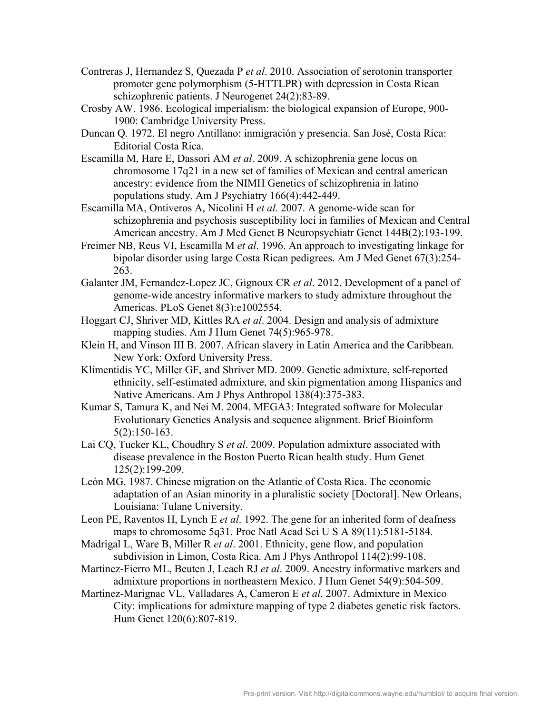- Contreras J, Hernandez S, Quezada P *et al*. 2010. Association of serotonin transporter promoter gene polymorphism (5-HTTLPR) with depression in Costa Rican schizophrenic patients. J Neurogenet 24(2):83-89.
- Crosby AW. 1986. Ecological imperialism: the biological expansion of Europe, 900- 1900: Cambridge University Press.
- Duncan Q. 1972. El negro Antillano: inmigración y presencia. San José, Costa Rica: Editorial Costa Rica.
- Escamilla M, Hare E, Dassori AM *et al*. 2009. A schizophrenia gene locus on chromosome 17q21 in a new set of families of Mexican and central american ancestry: evidence from the NIMH Genetics of schizophrenia in latino populations study. Am J Psychiatry 166(4):442-449.
- Escamilla MA, Ontiveros A, Nicolini H *et al*. 2007. A genome-wide scan for schizophrenia and psychosis susceptibility loci in families of Mexican and Central American ancestry. Am J Med Genet B Neuropsychiatr Genet 144B(2):193-199.
- Freimer NB, Reus VI, Escamilla M *et al*. 1996. An approach to investigating linkage for bipolar disorder using large Costa Rican pedigrees. Am J Med Genet 67(3):254- 263.
- Galanter JM, Fernandez-Lopez JC, Gignoux CR *et al*. 2012. Development of a panel of genome-wide ancestry informative markers to study admixture throughout the Americas. PLoS Genet 8(3):e1002554.
- Hoggart CJ, Shriver MD, Kittles RA *et al*. 2004. Design and analysis of admixture mapping studies. Am J Hum Genet 74(5):965-978.
- Klein H, and Vinson III B. 2007. African slavery in Latin America and the Caribbean. New York: Oxford University Press.
- Klimentidis YC, Miller GF, and Shriver MD. 2009. Genetic admixture, self-reported ethnicity, self-estimated admixture, and skin pigmentation among Hispanics and Native Americans. Am J Phys Anthropol 138(4):375-383.
- Kumar S, Tamura K, and Nei M. 2004. MEGA3: Integrated software for Molecular Evolutionary Genetics Analysis and sequence alignment. Brief Bioinform 5(2):150-163.
- Lai CQ, Tucker KL, Choudhry S *et al*. 2009. Population admixture associated with disease prevalence in the Boston Puerto Rican health study. Hum Genet 125(2):199-209.
- León MG. 1987. Chinese migration on the Atlantic of Costa Rica. The economic adaptation of an Asian minority in a pluralistic society [Doctoral]. New Orleans, Louisiana: Tulane University.
- Leon PE, Raventos H, Lynch E *et al*. 1992. The gene for an inherited form of deafness maps to chromosome 5q31. Proc Natl Acad Sci U S A 89(11):5181-5184.
- Madrigal L, Ware B, Miller R *et al*. 2001. Ethnicity, gene flow, and population subdivision in Limon, Costa Rica. Am J Phys Anthropol 114(2):99-108.
- Martinez-Fierro ML, Beuten J, Leach RJ *et al*. 2009. Ancestry informative markers and admixture proportions in northeastern Mexico. J Hum Genet 54(9):504-509.
- Martinez-Marignac VL, Valladares A, Cameron E *et al*. 2007. Admixture in Mexico City: implications for admixture mapping of type 2 diabetes genetic risk factors. Hum Genet 120(6):807-819.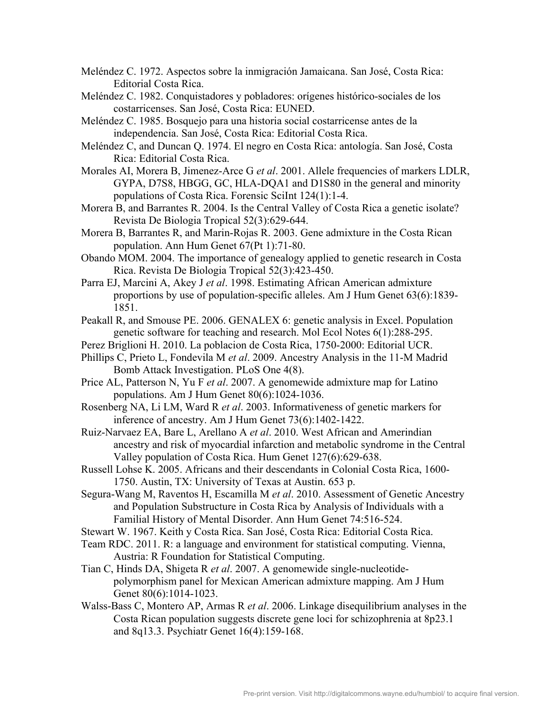- Meléndez C. 1972. Aspectos sobre la inmigración Jamaicana. San José, Costa Rica: Editorial Costa Rica.
- Meléndez C. 1982. Conquistadores y pobladores: orígenes histórico-sociales de los costarricenses. San José, Costa Rica: EUNED.
- Meléndez C. 1985. Bosquejo para una historia social costarricense antes de la independencia. San José, Costa Rica: Editorial Costa Rica.
- Meléndez C, and Duncan Q. 1974. El negro en Costa Rica: antología. San José, Costa Rica: Editorial Costa Rica.
- Morales AI, Morera B, Jimenez-Arce G *et al*. 2001. Allele frequencies of markers LDLR, GYPA, D7S8, HBGG, GC, HLA-DQA1 and D1S80 in the general and minority populations of Costa Rica. Forensic SciInt 124(1):1-4.
- Morera B, and Barrantes R. 2004. Is the Central Valley of Costa Rica a genetic isolate? Revista De Biologia Tropical 52(3):629-644.
- Morera B, Barrantes R, and Marin-Rojas R. 2003. Gene admixture in the Costa Rican population. Ann Hum Genet 67(Pt 1):71-80.
- Obando MOM. 2004. The importance of genealogy applied to genetic research in Costa Rica. Revista De Biologia Tropical 52(3):423-450.
- Parra EJ, Marcini A, Akey J *et al*. 1998. Estimating African American admixture proportions by use of population-specific alleles. Am J Hum Genet 63(6):1839- 1851.
- Peakall R, and Smouse PE. 2006. GENALEX 6: genetic analysis in Excel. Population genetic software for teaching and research. Mol Ecol Notes 6(1):288-295.
- Perez Briglioni H. 2010. La poblacion de Costa Rica, 1750-2000: Editorial UCR.
- Phillips C, Prieto L, Fondevila M *et al*. 2009. Ancestry Analysis in the 11-M Madrid Bomb Attack Investigation. PLoS One 4(8).
- Price AL, Patterson N, Yu F *et al*. 2007. A genomewide admixture map for Latino populations. Am J Hum Genet 80(6):1024-1036.
- Rosenberg NA, Li LM, Ward R *et al*. 2003. Informativeness of genetic markers for inference of ancestry. Am J Hum Genet 73(6):1402-1422.
- Ruiz-Narvaez EA, Bare L, Arellano A *et al*. 2010. West African and Amerindian ancestry and risk of myocardial infarction and metabolic syndrome in the Central Valley population of Costa Rica. Hum Genet 127(6):629-638.
- Russell Lohse K. 2005. Africans and their descendants in Colonial Costa Rica, 1600- 1750. Austin, TX: University of Texas at Austin. 653 p.
- Segura-Wang M, Raventos H, Escamilla M *et al*. 2010. Assessment of Genetic Ancestry and Population Substructure in Costa Rica by Analysis of Individuals with a Familial History of Mental Disorder. Ann Hum Genet 74:516-524.
- Stewart W. 1967. Keith y Costa Rica. San José, Costa Rica: Editorial Costa Rica.
- Team RDC. 2011. R: a language and environment for statistical computing. Vienna, Austria: R Foundation for Statistical Computing.
- Tian C, Hinds DA, Shigeta R *et al*. 2007. A genomewide single-nucleotidepolymorphism panel for Mexican American admixture mapping. Am J Hum Genet 80(6):1014-1023.
- Walss-Bass C, Montero AP, Armas R *et al*. 2006. Linkage disequilibrium analyses in the Costa Rican population suggests discrete gene loci for schizophrenia at 8p23.1 and 8q13.3. Psychiatr Genet 16(4):159-168.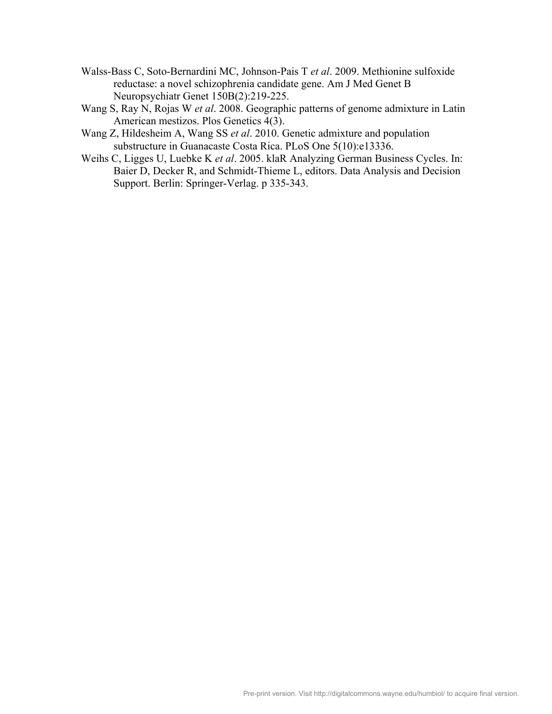- Walss-Bass C, Soto-Bernardini MC, Johnson-Pais T *et al*. 2009. Methionine sulfoxide reductase: a novel schizophrenia candidate gene. Am J Med Genet B Neuropsychiatr Genet 150B(2):219-225.
- Wang S, Ray N, Rojas W *et al*. 2008. Geographic patterns of genome admixture in Latin American mestizos. Plos Genetics 4(3).
- Wang Z, Hildesheim A, Wang SS *et al*. 2010. Genetic admixture and population substructure in Guanacaste Costa Rica. PLoS One 5(10):e13336.
- Weihs C, Ligges U, Luebke K *et al*. 2005. klaR Analyzing German Business Cycles. In: Baier D, Decker R, and Schmidt-Thieme L, editors. Data Analysis and Decision Support. Berlin: Springer-Verlag. p 335-343.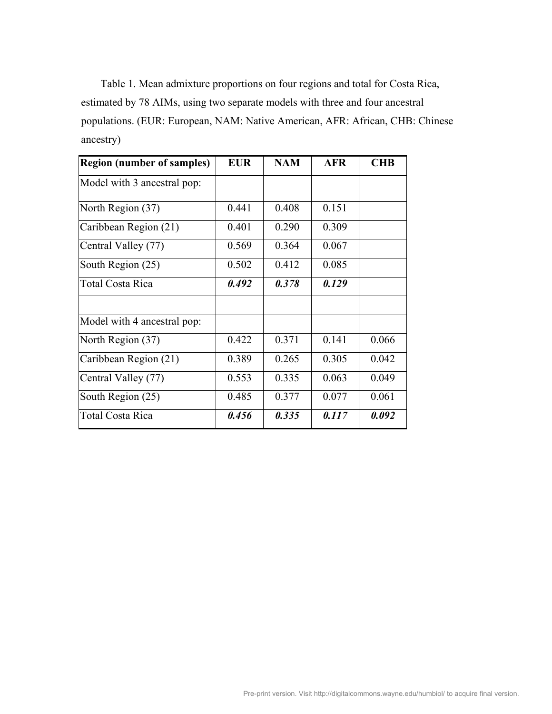Table 1. Mean admixture proportions on four regions and total for Costa Rica, estimated by 78 AIMs, using two separate models with three and four ancestral populations. (EUR: European, NAM: Native American, AFR: African, CHB: Chinese ancestry)

| <b>Region (number of samples)</b> | <b>EUR</b> | <b>NAM</b> | <b>AFR</b> | <b>CHB</b> |
|-----------------------------------|------------|------------|------------|------------|
| Model with 3 ancestral pop:       |            |            |            |            |
| North Region (37)                 | 0.441      | 0.408      | 0.151      |            |
| Caribbean Region (21)             | 0.401      | 0.290      | 0.309      |            |
| Central Valley (77)               | 0.569      | 0.364      | 0.067      |            |
| South Region (25)                 | 0.502      | 0.412      | 0.085      |            |
| Total Costa Rica                  | 0.492      | 0.378      | 0.129      |            |
|                                   |            |            |            |            |
| Model with 4 ancestral pop:       |            |            |            |            |
| North Region (37)                 | 0.422      | 0.371      | 0.141      | 0.066      |
| Caribbean Region (21)             | 0.389      | 0.265      | 0.305      | 0.042      |
| Central Valley (77)               | 0.553      | 0.335      | 0.063      | 0.049      |
| South Region (25)                 | 0.485      | 0.377      | 0.077      | 0.061      |
| Total Costa Rica                  | 0.456      | 0.335      | 0.117      | 0.092      |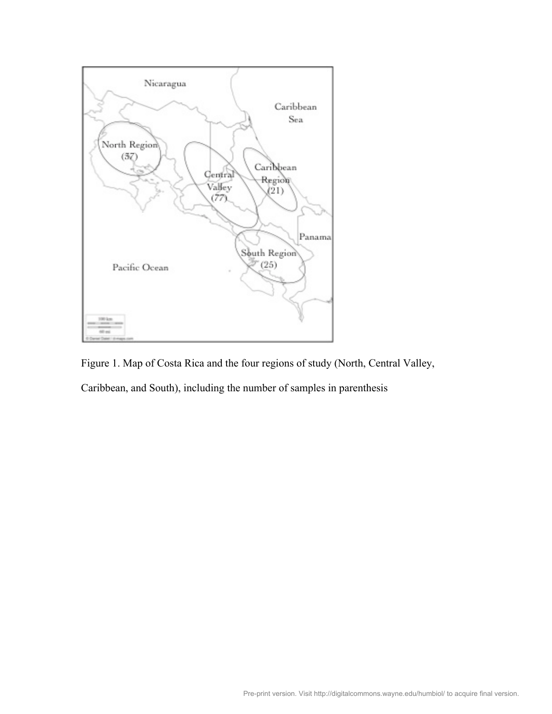

Figure 1. Map of Costa Rica and the four regions of study (North, Central Valley,

Caribbean, and South), including the number of samples in parenthesis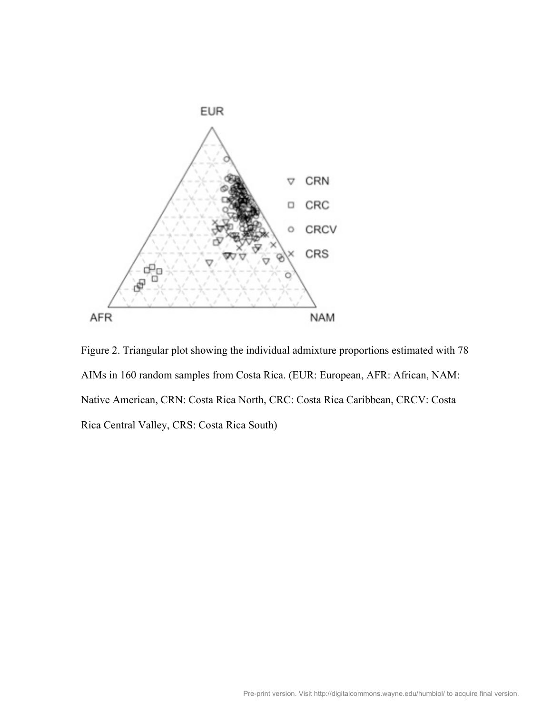

Figure 2. Triangular plot showing the individual admixture proportions estimated with 78 AIMs in 160 random samples from Costa Rica. (EUR: European, AFR: African, NAM: Native American, CRN: Costa Rica North, CRC: Costa Rica Caribbean, CRCV: Costa Rica Central Valley, CRS: Costa Rica South)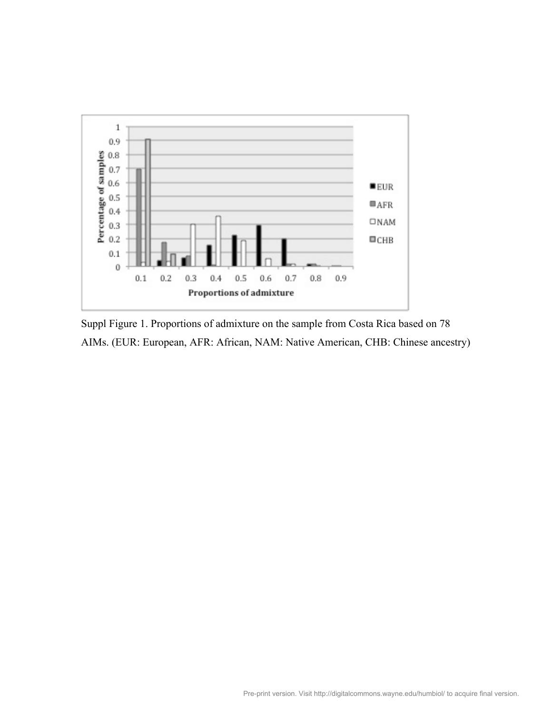

Suppl Figure 1. Proportions of admixture on the sample from Costa Rica based on 78 AIMs. (EUR: European, AFR: African, NAM: Native American, CHB: Chinese ancestry)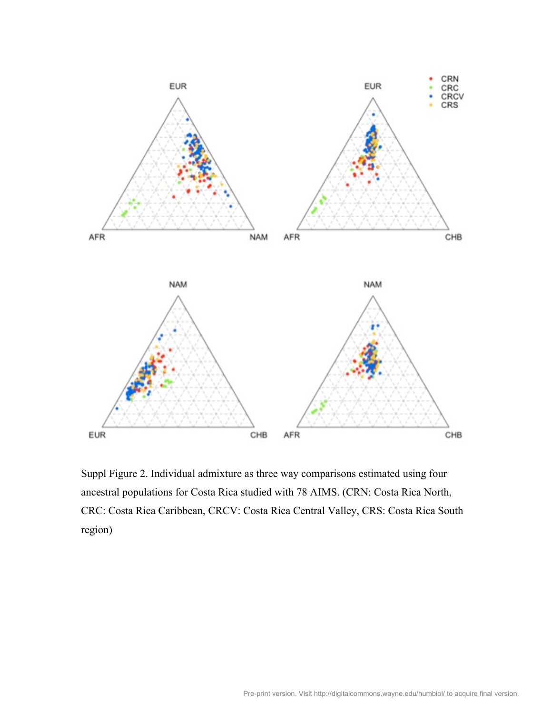

Suppl Figure 2. Individual admixture as three way comparisons estimated using four ancestral populations for Costa Rica studied with 78 AIMS. (CRN: Costa Rica North, CRC: Costa Rica Caribbean, CRCV: Costa Rica Central Valley, CRS: Costa Rica South region)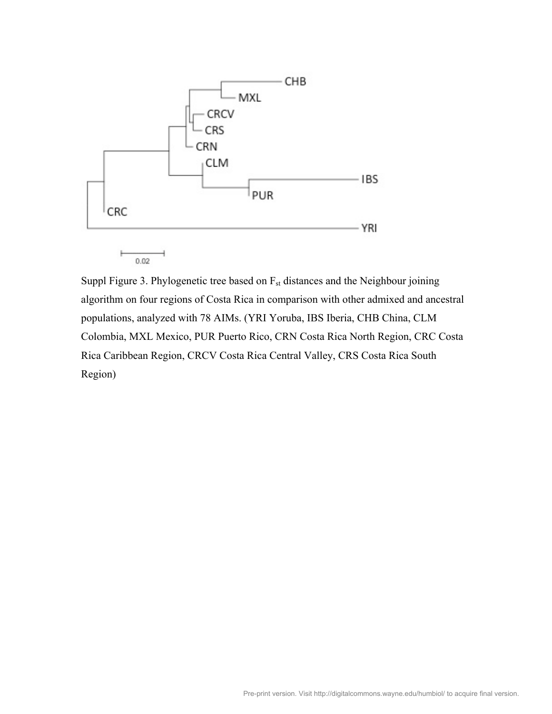

 $0.02$ 

Suppl Figure 3. Phylogenetic tree based on  $F_{st}$  distances and the Neighbour joining algorithm on four regions of Costa Rica in comparison with other admixed and ancestral populations, analyzed with 78 AIMs. (YRI Yoruba, IBS Iberia, CHB China, CLM Colombia, MXL Mexico, PUR Puerto Rico, CRN Costa Rica North Region, CRC Costa Rica Caribbean Region, CRCV Costa Rica Central Valley, CRS Costa Rica South Region)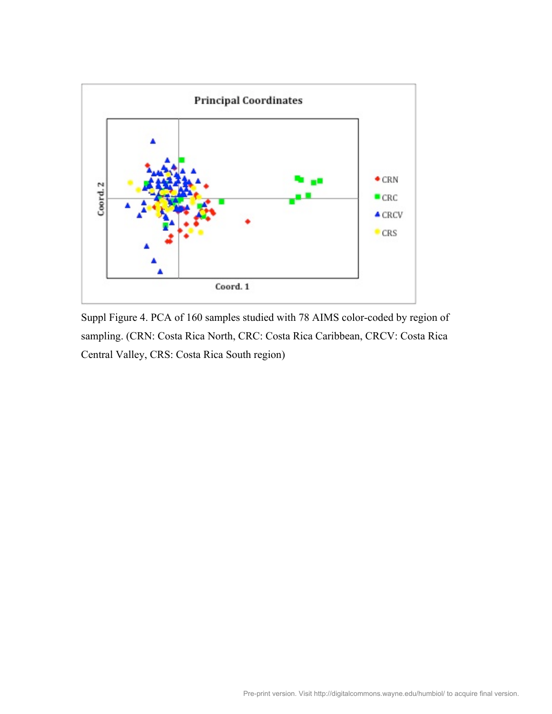

Suppl Figure 4. PCA of 160 samples studied with 78 AIMS color-coded by region of sampling. (CRN: Costa Rica North, CRC: Costa Rica Caribbean, CRCV: Costa Rica Central Valley, CRS: Costa Rica South region)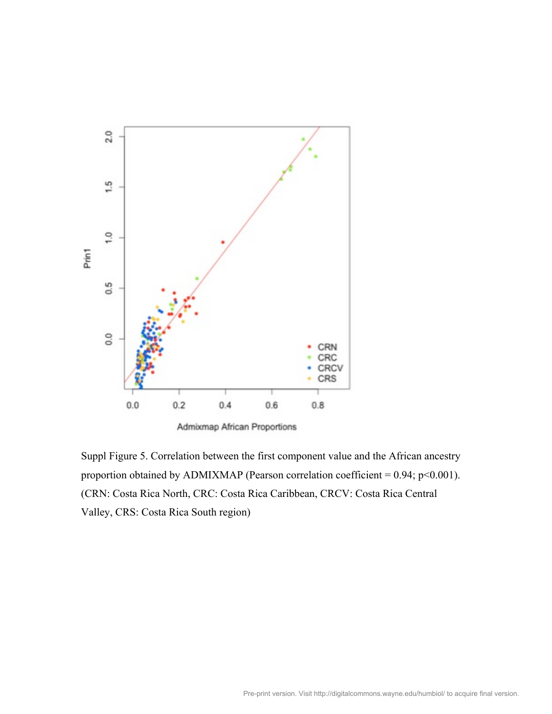

Suppl Figure 5. Correlation between the first component value and the African ancestry proportion obtained by ADMIXMAP (Pearson correlation coefficient =  $0.94$ ; p< $0.001$ ). (CRN: Costa Rica North, CRC: Costa Rica Caribbean, CRCV: Costa Rica Central Valley, CRS: Costa Rica South region)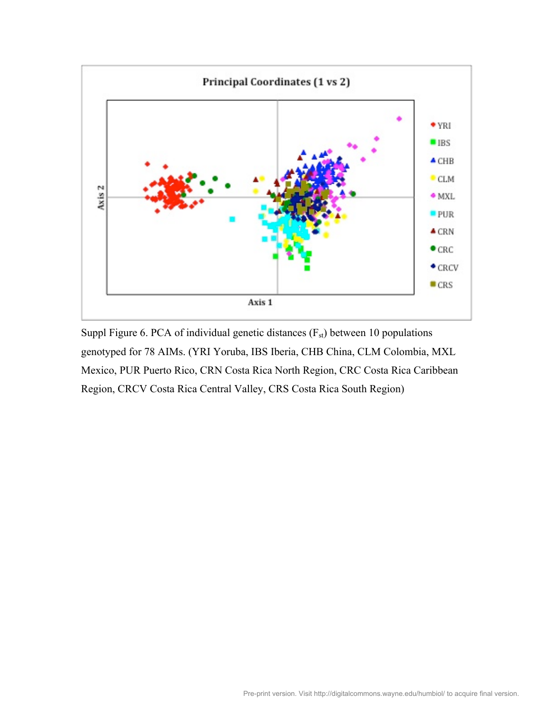

Suppl Figure 6. PCA of individual genetic distances  $(F_{st})$  between 10 populations genotyped for 78 AIMs. (YRI Yoruba, IBS Iberia, CHB China, CLM Colombia, MXL Mexico, PUR Puerto Rico, CRN Costa Rica North Region, CRC Costa Rica Caribbean Region, CRCV Costa Rica Central Valley, CRS Costa Rica South Region)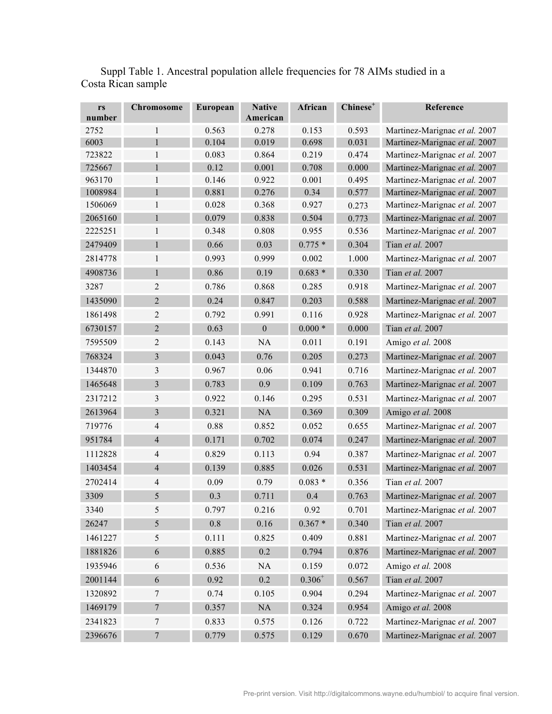| rs<br>number | <b>Chromosome</b>       | European | <b>Native</b><br>American | African     | Chinese <sup>+</sup> | Reference                     |
|--------------|-------------------------|----------|---------------------------|-------------|----------------------|-------------------------------|
| 2752         | $\mathbf{1}$            | 0.563    | 0.278                     | 0.153       | 0.593                | Martinez-Marignac et al. 2007 |
| 6003         | $\mathbf{1}$            | 0.104    | 0.019                     | 0.698       | 0.031                | Martinez-Marignac et al. 2007 |
| 723822       | 1                       | 0.083    | 0.864                     | 0.219       | 0.474                | Martinez-Marignac et al. 2007 |
| 725667       | $\mathbf{1}$            | 0.12     | 0.001                     | 0.708       | 0.000                | Martinez-Marignac et al. 2007 |
| 963170       | $\mathbf{1}$            | 0.146    | 0.922                     | 0.001       | 0.495                | Martinez-Marignac et al. 2007 |
| 1008984      | $\mathbf{1}$            | 0.881    | 0.276                     | 0.34        | 0.577                | Martinez-Marignac et al. 2007 |
| 1506069      | $\mathbf{1}$            | 0.028    | 0.368                     | 0.927       | 0.273                | Martinez-Marignac et al. 2007 |
| 2065160      | $\mathbf{1}$            | 0.079    | 0.838                     | 0.504       | 0.773                | Martinez-Marignac et al. 2007 |
| 2225251      | 1                       | 0.348    | 0.808                     | 0.955       | 0.536                | Martinez-Marignac et al. 2007 |
| 2479409      | $\mathbf{1}$            | 0.66     | 0.03                      | $0.775*$    | 0.304                | Tian et al. 2007              |
| 2814778      | $\mathbf{1}$            | 0.993    | 0.999                     | 0.002       | 1.000                | Martinez-Marignac et al. 2007 |
| 4908736      | $\mathbf{1}$            | 0.86     | 0.19                      | $0.683*$    | 0.330                | Tian et al. 2007              |
| 3287         | $\overline{c}$          | 0.786    | 0.868                     | 0.285       | 0.918                | Martinez-Marignac et al. 2007 |
| 1435090      | $\overline{2}$          | 0.24     | 0.847                     | 0.203       | 0.588                | Martinez-Marignac et al. 2007 |
| 1861498      | $\overline{2}$          | 0.792    | 0.991                     | 0.116       | 0.928                | Martinez-Marignac et al. 2007 |
| 6730157      | $\overline{2}$          | 0.63     | $\boldsymbol{0}$          | $0.000*$    | 0.000                | Tian et al. 2007              |
| 7595509      | $\overline{2}$          | 0.143    | <b>NA</b>                 | 0.011       | 0.191                | Amigo et al. 2008             |
| 768324       | 3                       | 0.043    | 0.76                      | 0.205       | 0.273                | Martinez-Marignac et al. 2007 |
| 1344870      | 3                       | 0.967    | 0.06                      | 0.941       | 0.716                | Martinez-Marignac et al. 2007 |
| 1465648      | 3                       | 0.783    | 0.9                       | 0.109       | 0.763                | Martinez-Marignac et al. 2007 |
| 2317212      | 3                       | 0.922    | 0.146                     | 0.295       | 0.531                | Martinez-Marignac et al. 2007 |
| 2613964      | $\overline{\mathbf{3}}$ | 0.321    | NA                        | 0.369       | 0.309                | Amigo et al. 2008             |
| 719776       | 4                       | 0.88     | 0.852                     | 0.052       | 0.655                | Martinez-Marignac et al. 2007 |
| 951784       | $\overline{4}$          | 0.171    | 0.702                     | 0.074       | 0.247                | Martinez-Marignac et al. 2007 |
| 1112828      | $\overline{4}$          | 0.829    | 0.113                     | 0.94        | 0.387                | Martinez-Marignac et al. 2007 |
| 1403454      | $\overline{4}$          | 0.139    | 0.885                     | 0.026       | 0.531                | Martinez-Marignac et al. 2007 |
| 2702414      | 4                       | 0.09     | 0.79                      | $0.083*$    | 0.356                | Tian et al. 2007              |
| 3309         | 5                       | 0.3      | 0.711                     | 0.4         | 0.763                | Martinez-Marignac et al. 2007 |
| 3340         | 5                       | 0.797    | 0.216                     | 0.92        | 0.701                | Martinez-Marignac et al. 2007 |
| 26247        | 5                       | $0.8\,$  | 0.16                      | $0.367 *$   | 0.340                | Tian et al. 2007              |
| 1461227      | $\sqrt{5}$              | 0.111    | 0.825                     | 0.409       | 0.881                | Martinez-Marignac et al. 2007 |
| 1881826      | $\sqrt{6}$              | 0.885    | 0.2                       | 0.794       | 0.876                | Martinez-Marignac et al. 2007 |
| 1935946      | 6                       | 0.536    | $\rm NA$                  | 0.159       | 0.072                | Amigo et al. 2008             |
| 2001144      | $\sqrt{6}$              | 0.92     | $0.2\,$                   | $0.306^{+}$ | 0.567                | Tian et al. 2007              |
| 1320892      | $\overline{7}$          | 0.74     | 0.105                     | 0.904       | 0.294                | Martinez-Marignac et al. 2007 |
| 1469179      | $\boldsymbol{7}$        | 0.357    | $\rm NA$                  | 0.324       | 0.954                | Amigo et al. 2008             |
| 2341823      | $\boldsymbol{7}$        | 0.833    | 0.575                     | 0.126       | 0.722                | Martinez-Marignac et al. 2007 |
| 2396676      | $\boldsymbol{7}$        | 0.779    | 0.575                     | 0.129       | 0.670                | Martinez-Marignac et al. 2007 |

Suppl Table 1. Ancestral population allele frequencies for 78 AIMs studied in a Costa Rican sample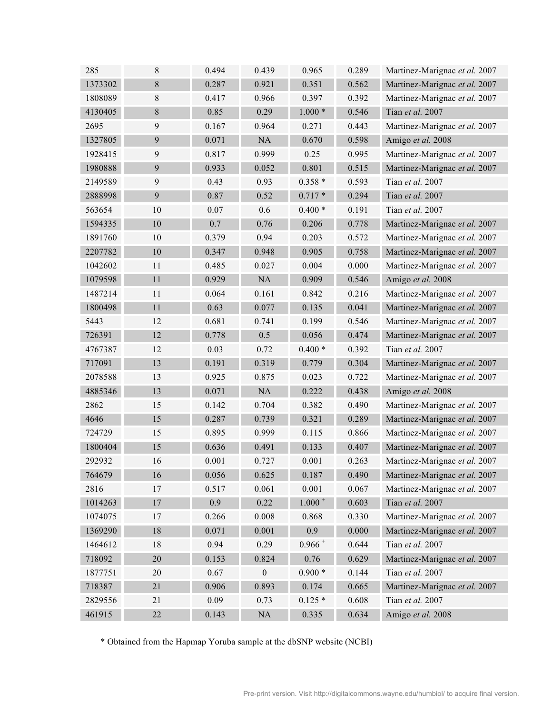| 285     | 8      | 0.494 | 0.439            | 0.965     | 0.289 | Martinez-Marignac et al. 2007 |
|---------|--------|-------|------------------|-----------|-------|-------------------------------|
| 1373302 | 8      | 0.287 | 0.921            | 0.351     | 0.562 | Martinez-Marignac et al. 2007 |
| 1808089 | $8\,$  | 0.417 | 0.966            | 0.397     | 0.392 | Martinez-Marignac et al. 2007 |
| 4130405 | $8\,$  | 0.85  | 0.29             | $1.000*$  | 0.546 | Tian et al. 2007              |
| 2695    | 9      | 0.167 | 0.964            | 0.271     | 0.443 | Martinez-Marignac et al. 2007 |
| 1327805 | 9      | 0.071 | NA               | 0.670     | 0.598 | Amigo et al. 2008             |
| 1928415 | 9      | 0.817 | 0.999            | 0.25      | 0.995 | Martinez-Marignac et al. 2007 |
| 1980888 | 9      | 0.933 | 0.052            | 0.801     | 0.515 | Martinez-Marignac et al. 2007 |
| 2149589 | 9      | 0.43  | 0.93             | $0.358*$  | 0.593 | Tian <i>et al.</i> 2007       |
| 2888998 | 9      | 0.87  | 0.52             | $0.717*$  | 0.294 | Tian et al. 2007              |
| 563654  | 10     | 0.07  | 0.6              | $0.400*$  | 0.191 | Tian et al. 2007              |
| 1594335 | 10     | 0.7   | 0.76             | 0.206     | 0.778 | Martinez-Marignac et al. 2007 |
| 1891760 | 10     | 0.379 | 0.94             | 0.203     | 0.572 | Martinez-Marignac et al. 2007 |
| 2207782 | 10     | 0.347 | 0.948            | 0.905     | 0.758 | Martinez-Marignac et al. 2007 |
| 1042602 | 11     | 0.485 | 0.027            | 0.004     | 0.000 | Martinez-Marignac et al. 2007 |
| 1079598 | 11     | 0.929 | NA               | 0.909     | 0.546 | Amigo et al. 2008             |
| 1487214 | 11     | 0.064 | 0.161            | 0.842     | 0.216 | Martinez-Marignac et al. 2007 |
| 1800498 | 11     | 0.63  | 0.077            | 0.135     | 0.041 | Martinez-Marignac et al. 2007 |
| 5443    | 12     | 0.681 | 0.741            | 0.199     | 0.546 | Martinez-Marignac et al. 2007 |
| 726391  | 12     | 0.778 | 0.5              | 0.056     | 0.474 | Martinez-Marignac et al. 2007 |
| 4767387 | 12     | 0.03  | 0.72             | $0.400*$  | 0.392 | Tian et al. 2007              |
| 717091  | 13     | 0.191 | 0.319            | 0.779     | 0.304 | Martinez-Marignac et al. 2007 |
| 2078588 | 13     | 0.925 | 0.875            | 0.023     | 0.722 | Martinez-Marignac et al. 2007 |
| 4885346 | 13     | 0.071 | NA               | 0.222     | 0.438 | Amigo et al. 2008             |
| 2862    | 15     | 0.142 | 0.704            | 0.382     | 0.490 | Martinez-Marignac et al. 2007 |
| 4646    | 15     | 0.287 | 0.739            | 0.321     | 0.289 | Martinez-Marignac et al. 2007 |
| 724729  | 15     | 0.895 | 0.999            | 0.115     | 0.866 | Martinez-Marignac et al. 2007 |
| 1800404 | 15     | 0.636 | 0.491            | 0.133     | 0.407 | Martinez-Marignac et al. 2007 |
| 292932  | 16     | 0.001 | 0.727            | 0.001     | 0.263 | Martinez-Marignac et al. 2007 |
| 764679  | 16     | 0.056 | 0.625            | 0.187     | 0.490 | Martinez-Marignac et al. 2007 |
| 2816    | 17     | 0.517 | 0.061            | 0.001     | 0.067 | Martinez-Marignac et al. 2007 |
| 1014263 | 17     | 0.9   | 0.22             | $1.000 +$ | 0.603 | Tian et al. 2007              |
| 1074075 | 17     | 0.266 | 0.008            | 0.868     | 0.330 | Martinez-Marignac et al. 2007 |
| 1369290 | 18     | 0.071 | 0.001            | 0.9       | 0.000 | Martinez-Marignac et al. 2007 |
| 1464612 | 18     | 0.94  | 0.29             | $0.966 +$ | 0.644 | Tian et al. 2007              |
| 718092  | 20     | 0.153 | 0.824            | 0.76      | 0.629 | Martinez-Marignac et al. 2007 |
| 1877751 | 20     | 0.67  | $\boldsymbol{0}$ | $0.900*$  | 0.144 | Tian et al. 2007              |
| 718387  | 21     | 0.906 | 0.893            | 0.174     | 0.665 | Martinez-Marignac et al. 2007 |
| 2829556 | 21     | 0.09  | 0.73             | $0.125*$  | 0.608 | Tian et al. 2007              |
| 461915  | $22\,$ | 0.143 | NA               | 0.335     | 0.634 | Amigo et al. 2008             |

\* Obtained from the Hapmap Yoruba sample at the dbSNP website (NCBI)